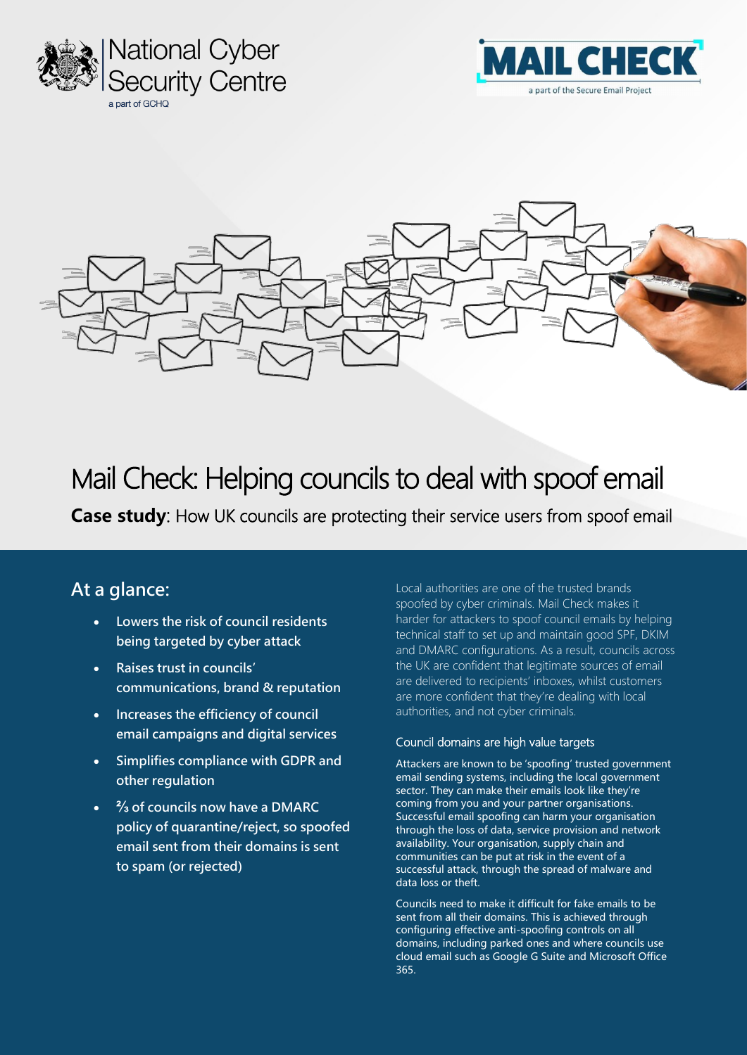





# Mail Check: Helping councils to deal with spoof email

**Case study:** How UK councils are protecting their service users from spoof email

# **At a glance:**

- **Lowers the risk of council residents being targeted by cyber attack**
- **Raises trust in councils' communications, brand & reputation**
- **Increases the efficiency of council email campaigns and digital services**
- **Simplifies compliance with GDPR and other regulation**
- **⅔ of councils now have a DMARC policy of quarantine/reject, so spoofed email sent from their domains is sent to spam (or rejected)**

Local authorities are one of the trusted brands spoofed by cyber criminals. Mail Check makes it harder for attackers to spoof council emails by helping technical staff to set up and maintain good SPF, DKIM and DMARC configurations. As a result, councils across the UK are confident that legitimate sources of email are delivered to recipients' inboxes, whilst customers are more confident that they're dealing with local authorities, and not cyber criminals.

#### Council domains are high value targets

Attackers are known to be 'spoofing' trusted government email sending systems, including the local government sector. They can make their emails look like they're coming from you and your partner organisations. Successful email spoofing can harm your organisation through the loss of data, service provision and network availability. Your organisation, supply chain and communities can be put at risk in the event of a successful attack, through the spread of malware and data loss or theft.

Councils need to make it difficult for fake emails to be sent from all their domains. This is achieved through configuring effective anti-spoofing controls on all domains, including parked ones and where councils use cloud email such as Google G Suite and Microsoft Office 365.